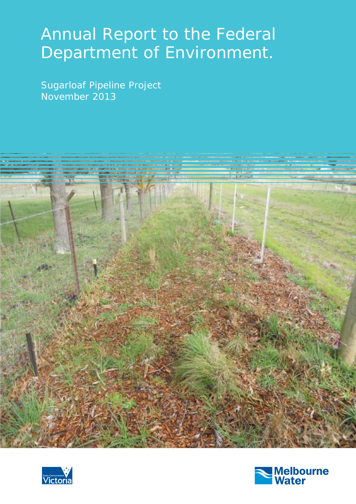# Annual Report to the Federal Department of Environment.

Sugarloaf Pipeline Project November 2013





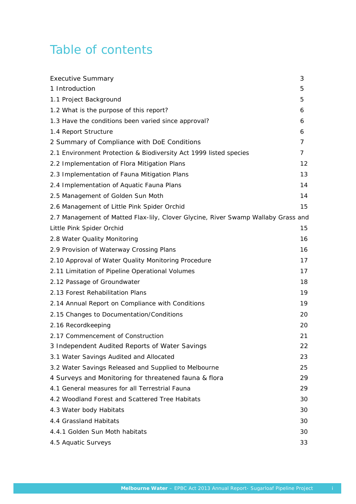# Table of contents

| <b>Executive Summary</b>                                                          | 3  |
|-----------------------------------------------------------------------------------|----|
| 1 Introduction                                                                    | 5  |
| 1.1 Project Background                                                            | 5  |
| 1.2 What is the purpose of this report?                                           | 6  |
| 1.3 Have the conditions been varied since approval?                               | 6  |
| 1.4 Report Structure                                                              | 6  |
| 2 Summary of Compliance with DoE Conditions                                       | 7  |
| 2.1 Environment Protection & Biodiversity Act 1999 listed species                 | 7  |
| 2.2 Implementation of Flora Mitigation Plans                                      | 12 |
| 2.3 Implementation of Fauna Mitigation Plans                                      | 13 |
| 2.4 Implementation of Aquatic Fauna Plans                                         | 14 |
| 2.5 Management of Golden Sun Moth                                                 | 14 |
| 2.6 Management of Little Pink Spider Orchid                                       | 15 |
| 2.7 Management of Matted Flax-lily, Clover Glycine, River Swamp Wallaby Grass and |    |
| Little Pink Spider Orchid                                                         | 15 |
| 2.8 Water Quality Monitoring                                                      | 16 |
| 2.9 Provision of Waterway Crossing Plans                                          | 16 |
| 2.10 Approval of Water Quality Monitoring Procedure                               | 17 |
| 2.11 Limitation of Pipeline Operational Volumes                                   | 17 |
| 2.12 Passage of Groundwater                                                       | 18 |
| 2.13 Forest Rehabilitation Plans                                                  | 19 |
| 2.14 Annual Report on Compliance with Conditions                                  | 19 |
| 2.15 Changes to Documentation/Conditions                                          | 20 |
| 2.16 Recordkeeping                                                                | 20 |
| 2.17 Commencement of Construction                                                 | 21 |
| 3 Independent Audited Reports of Water Savings                                    | 22 |
| 3.1 Water Savings Audited and Allocated                                           | 23 |
| 3.2 Water Savings Released and Supplied to Melbourne                              | 25 |
| 4 Surveys and Monitoring for threatened fauna & flora                             | 29 |
| 4.1 General measures for all Terrestrial Fauna                                    | 29 |
| 4.2 Woodland Forest and Scattered Tree Habitats                                   | 30 |
| 4.3 Water body Habitats                                                           | 30 |
| 4.4 Grassland Habitats                                                            | 30 |
| 4.4.1 Golden Sun Moth habitats                                                    | 30 |
| 4.5 Aquatic Surveys                                                               | 33 |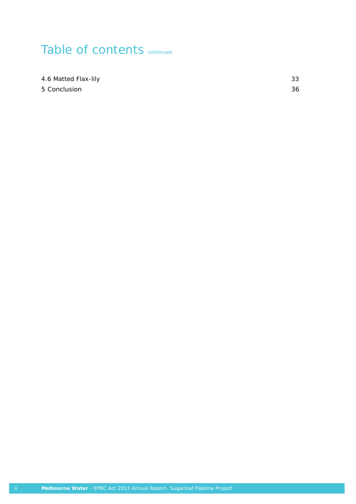# Table of contents continued

4.6 Matted Flax-lily 33 5 Conclusion 36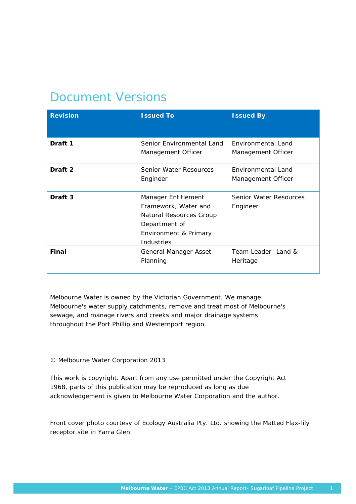# Document Versions

| <b>Revision</b>    | <b>Issued To</b>                                                                                                               | <b>Issued By</b>                         |
|--------------------|--------------------------------------------------------------------------------------------------------------------------------|------------------------------------------|
| Draft 1            | Senior Environmental Land<br>Management Officer                                                                                | Environmental Land<br>Management Officer |
| Draft 2            | <b>Senior Water Resources</b><br>Engineer                                                                                      | Environmental Land<br>Management Officer |
| Draft <sub>3</sub> | Manager Entitlement<br>Framework, Water and<br>Natural Resources Group<br>Department of<br>Environment & Primary<br>Industries | Senior Water Resources<br>Engineer       |
| Final              | General Manager Asset<br>Planning                                                                                              | Team Leader-Land &<br>Heritage           |

Melbourne Water is owned by the Victorian Government. We manage Melbourne's water supply catchments, remove and treat most of Melbourne's sewage, and manage rivers and creeks and major drainage systems throughout the Port Phillip and Westernport region.

### © Melbourne Water Corporation 2013

This work is copyright. Apart from any use permitted under the Copyright Act 1968, parts of this publication may be reproduced as long as due acknowledgement is given to Melbourne Water Corporation and the author.

*Front cover photo courtesy of Ecology Australia Pty. Ltd. showing the Matted Flax-lily receptor site in Yarra Glen.*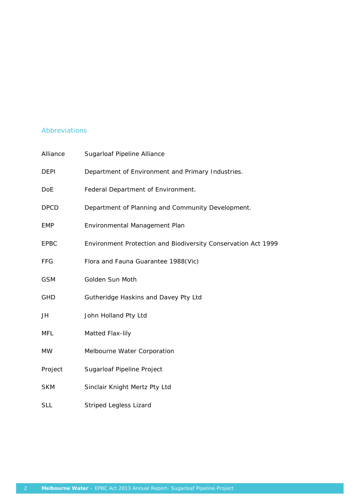### Abbreviations

| Alliance    | Sugarloaf Pipeline Alliance                                   |
|-------------|---------------------------------------------------------------|
| <b>DEPI</b> | Department of Environment and Primary Industries.             |
| <b>DoE</b>  | Federal Department of Environment.                            |
| <b>DPCD</b> | Department of Planning and Community Development.             |
| <b>EMP</b>  | Environmental Management Plan                                 |
| <b>EPBC</b> | Environment Protection and Biodiversity Conservation Act 1999 |
| <b>FFG</b>  | Flora and Fauna Guarantee 1988(Vic)                           |
| <b>GSM</b>  | Golden Sun Moth                                               |
| <b>GHD</b>  | Gutheridge Haskins and Davey Pty Ltd                          |
| JH          | John Holland Pty Ltd                                          |
| <b>MFL</b>  | Matted Flax-lily                                              |
| <b>MW</b>   | Melbourne Water Corporation                                   |
| Project     | Sugarloaf Pipeline Project                                    |
| <b>SKM</b>  | Sinclair Knight Mertz Pty Ltd                                 |
| <b>SLL</b>  | <b>Striped Legless Lizard</b>                                 |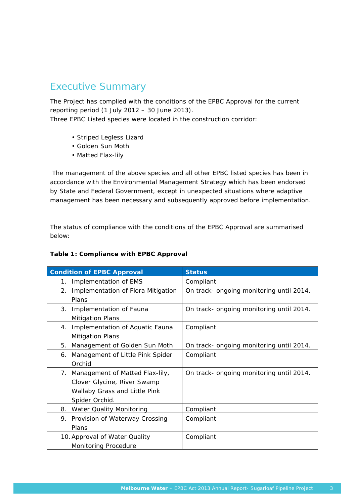# Executive Summary

The Project has complied with the conditions of the EPBC Approval for the current reporting period (1 July 2012 – 30 June 2013).

Three EPBC Listed species were located in the construction corridor:

- Striped Legless Lizard
- Golden Sun Moth
- Matted Flax-lily

 The management of the above species and all other EPBC listed species has been in accordance with the Environmental Management Strategy which has been endorsed by State and Federal Government, except in unexpected situations where adaptive management has been necessary and subsequently approved before implementation.

The status of compliance with the conditions of the EPBC Approval are summarised below:

### **Table 1: Compliance with EPBC Approval**

|    | <b>Condition of EPBC Approval</b>  | <b>Status</b>                            |
|----|------------------------------------|------------------------------------------|
| 1. | Implementation of EMS              | Compliant                                |
| 2. | Implementation of Flora Mitigation | On track- ongoing monitoring until 2014. |
|    | Plans                              |                                          |
| 3. | Implementation of Fauna            | On track- ongoing monitoring until 2014. |
|    | <b>Mitigation Plans</b>            |                                          |
| 4. | Implementation of Aquatic Fauna    | Compliant                                |
|    | <b>Mitigation Plans</b>            |                                          |
| 5. | Management of Golden Sun Moth      | On track- ongoing monitoring until 2014. |
| 6. | Management of Little Pink Spider   | Compliant                                |
|    | Orchid                             |                                          |
| 7. | Management of Matted Flax-lily,    | On track- ongoing monitoring until 2014. |
|    | Clover Glycine, River Swamp        |                                          |
|    | Wallaby Grass and Little Pink      |                                          |
|    | Spider Orchid.                     |                                          |
| 8. | Water Quality Monitoring           | Compliant                                |
|    | 9. Provision of Waterway Crossing  | Compliant                                |
|    | Plans                              |                                          |
|    | 10. Approval of Water Quality      | Compliant                                |
|    | Monitoring Procedure               |                                          |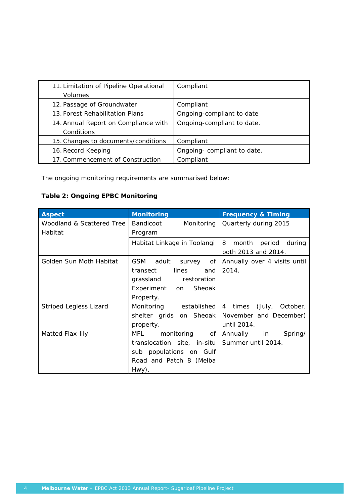| 11. Limitation of Pipeline Operational | Compliant                   |
|----------------------------------------|-----------------------------|
| Volumes                                |                             |
| 12. Passage of Groundwater             | Compliant                   |
| 13. Forest Rehabilitation Plans        | Ongoing-compliant to date   |
| 14. Annual Report on Compliance with   | Ongoing-compliant to date.  |
| Conditions                             |                             |
| 15. Changes to documents/conditions    | Compliant                   |
| 16. Record Keeping                     | Ongoing- compliant to date. |
| 17. Commencement of Construction       | Compliant                   |

The ongoing monitoring requirements are summarised below:

# **Table 2: Ongoing EPBC Monitoring**

| <b>Aspect</b>                 | <b>Monitoring</b>                     | <b>Frequency &amp; Timing</b>    |
|-------------------------------|---------------------------------------|----------------------------------|
| Woodland & Scattered Tree     | <b>Bandicoot</b><br>Monitoring        | Quarterly during 2015            |
| Habitat                       | Program                               |                                  |
|                               | Habitat Linkage in Toolangi           | 8<br>month<br>period<br>during   |
|                               |                                       | both 2013 and 2014.              |
| Golden Sun Moth Habitat       | <b>GSM</b><br>adult<br>of<br>survey   | Annually over 4 visits until     |
|                               | lines<br>transect<br>and              | 2014.                            |
|                               | grassland<br>restoration              |                                  |
|                               | Sheoak<br>Experiment<br><sub>on</sub> |                                  |
|                               | Property.                             |                                  |
| <b>Striped Legless Lizard</b> | Monitoring<br>established             | (July,<br>times<br>October,<br>4 |
|                               | shelter grids on Sheoak               | November and December)           |
|                               | property.                             | until 2014.                      |
| Matted Flax-lily              | MFL<br>monitoring<br>οf               | Annually<br>in<br>Spring/        |
|                               | translocation site, in-situ           | Summer until 2014.               |
|                               | sub populations on Gulf               |                                  |
|                               | Road and Patch 8 (Melba               |                                  |
|                               | Hwy).                                 |                                  |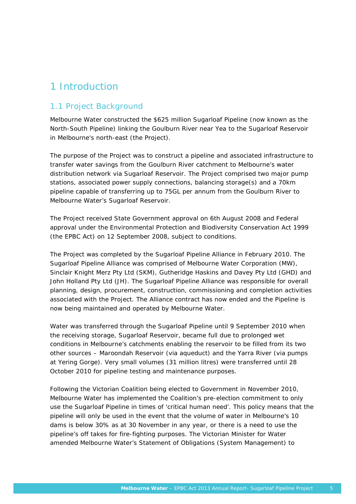# 1 Introduction

### 1.1 Project Background

Melbourne Water constructed the \$625 million Sugarloaf Pipeline (now known as the North-South Pipeline) linking the Goulburn River near Yea to the Sugarloaf Reservoir in Melbourne's north-east (the Project).

The purpose of the Project was to construct a pipeline and associated infrastructure to transfer water savings from the Goulburn River catchment to Melbourne's water distribution network via Sugarloaf Reservoir. The Project comprised two major pump stations, associated power supply connections, balancing storage(s) and a 70km pipeline capable of transferring up to 75GL per annum from the Goulburn River to Melbourne Water's Sugarloaf Reservoir.

The Project received State Government approval on 6th August 2008 and Federal approval under the *Environmental Protection and Biodiversity Conservation Act 1999* (the EPBC Act) on 12 September 2008, subject to conditions.

The Project was completed by the Sugarloaf Pipeline Alliance in February 2010. The Sugarloaf Pipeline Alliance was comprised of Melbourne Water Corporation (MW), Sinclair Knight Merz Pty Ltd (SKM), Gutheridge Haskins and Davey Pty Ltd (GHD) and John Holland Pty Ltd (JH). The Sugarloaf Pipeline Alliance was responsible for overall planning, design, procurement, construction, commissioning and completion activities associated with the Project. The Alliance contract has now ended and the Pipeline is now being maintained and operated by Melbourne Water.

Water was transferred through the Sugarloaf Pipeline until 9 September 2010 when the receiving storage, Sugarloaf Reservoir, became full due to prolonged wet conditions in Melbourne's catchments enabling the reservoir to be filled from its two other sources – Maroondah Reservoir (via aqueduct) and the Yarra River (via pumps at Yering Gorge). Very small volumes (31 million litres) were transferred until 28 October 2010 for pipeline testing and maintenance purposes.

Following the Victorian Coalition being elected to Government in November 2010, Melbourne Water has implemented the Coalition's pre-election commitment to only use the Sugarloaf Pipeline in times of 'critical human need'. This policy means that the pipeline will only be used in the event that the volume of water in Melbourne's 10 dams is below 30% as at 30 November in any year, or there is a need to use the pipeline's off takes for fire-fighting purposes. The Victorian Minister for Water amended Melbourne Water's Statement of Obligations (System Management) to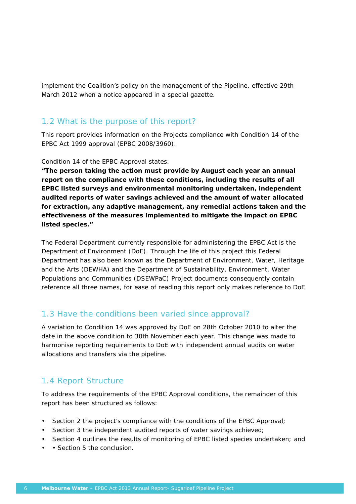implement the Coalition's policy on the management of the Pipeline, effective 29th March 2012 when a notice appeared in a special gazette.

# 1.2 What is the purpose of this report?

This report provides information on the Projects compliance with Condition 14 of the EPBC Act 1999 approval (EPBC 2008/3960).

### Condition 14 of the EPBC Approval states:

**"***The person taking the action must provide by August each year an annual report on the compliance with these conditions, including the results of all EPBC listed surveys and environmental monitoring undertaken, independent audited reports of water savings achieved and the amount of water allocated for extraction, any adaptive management, any remedial actions taken and the effectiveness of the measures implemented to mitigate the impact on EPBC listed species***."** 

The Federal Department currently responsible for administering the EPBC Act is the Department of Environment (DoE). Through the life of this project this Federal Department has also been known as the Department of Environment, Water, Heritage and the Arts (DEWHA) and the Department of Sustainability, Environment, Water Populations and Communities (DSEWPaC) Project documents consequently contain reference all three names, for ease of reading this report only makes reference to DoE

### 1.3 Have the conditions been varied since approval?

A variation to Condition 14 was approved by DoE on 28th October 2010 to alter the date in the above condition to 30th November each year. This change was made to harmonise reporting requirements to DoE with independent annual audits on water allocations and transfers via the pipeline.

### 1.4 Report Structure

To address the requirements of the EPBC Approval conditions, the remainder of this report has been structured as follows:

- Section 2 the project's compliance with the conditions of the EPBC Approval;
- Section 3 the independent audited reports of water savings achieved;
- Section 4 outlines the results of monitoring of EPBC listed species undertaken; and
- • Section 5 the conclusion.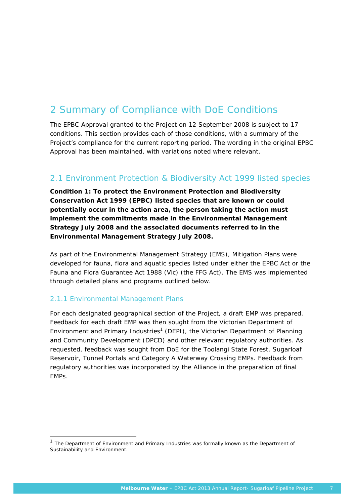# 2 Summary of Compliance with DoE Conditions

The EPBC Approval granted to the Project on 12 September 2008 is subject to 17 conditions. This section provides each of those conditions, with a summary of the Project's compliance for the current reporting period. The wording in the original EPBC Approval has been maintained, with variations noted where relevant.

# 2.1 Environment Protection & Biodiversity Act 1999 listed species

*Condition 1: To protect the Environment Protection and Biodiversity Conservation Act 1999 (EPBC) listed species that are known or could potentially occur in the action area, the person taking the action must implement the commitments made in the Environmental Management Strategy July 2008 and the associated documents referred to in the Environmental Management Strategy July 2008.* 

As part of the Environmental Management Strategy (EMS), Mitigation Plans were developed for fauna, flora and aquatic species listed under either the EPBC Act or the *Fauna and Flora Guarantee Act* 1988 (Vic) (the FFG Act). The EMS was implemented through detailed plans and programs outlined below.

### 2.1.1 Environmental Management Plans

1

For each designated geographical section of the Project, a draft EMP was prepared. Feedback for each draft EMP was then sought from the Victorian Department of Environment and Primary Industries<sup>1</sup> (DEPI), the Victorian Department of Planning and Community Development (DPCD) and other relevant regulatory authorities. As requested, feedback was sought from DoE for the Toolangi State Forest, Sugarloaf Reservoir, Tunnel Portals and Category A Waterway Crossing EMPs. Feedback from regulatory authorities was incorporated by the Alliance in the preparation of final EMPs.

 $1$  The Department of Environment and Primary Industries was formally known as the Department of Sustainability and Environment.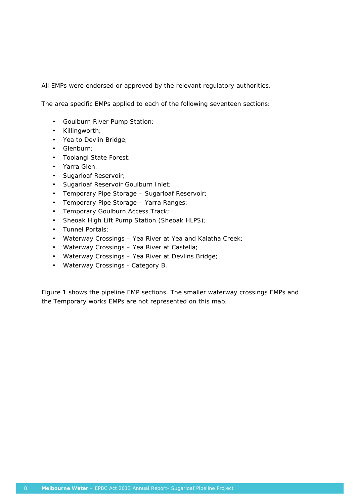All EMPs were endorsed or approved by the relevant regulatory authorities.

The area specific EMPs applied to each of the following seventeen sections:

- Goulburn River Pump Station;
- Killingworth;
- Yea to Devlin Bridge;
- Glenburn;
- Toolangi State Forest;
- Yarra Glen;
- Sugarloaf Reservoir;
- Sugarloaf Reservoir Goulburn Inlet;
- Temporary Pipe Storage Sugarloaf Reservoir;
- Temporary Pipe Storage Yarra Ranges;
- Temporary Goulburn Access Track;
- Sheoak High Lift Pump Station (Sheoak HLPS);
- Tunnel Portals;
- Waterway Crossings Yea River at Yea and Kalatha Creek;
- Waterway Crossings Yea River at Castella;
- Waterway Crossings Yea River at Devlins Bridge;
- Waterway Crossings Category B.

Figure 1 shows the pipeline EMP sections. The smaller waterway crossings EMPs and the Temporary works EMPs are not represented on this map.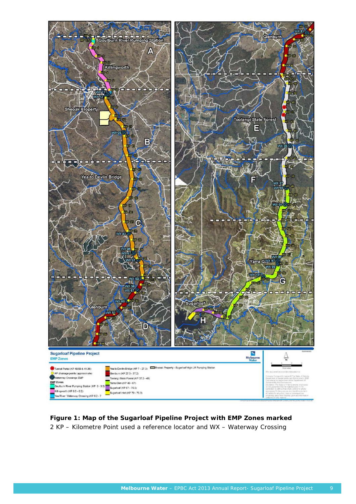

**Figure 1: Map of the Sugarloaf Pipeline Project with EMP Zones marked**  2 KP – Kilometre Point used a reference locator and WX – Waterway Crossing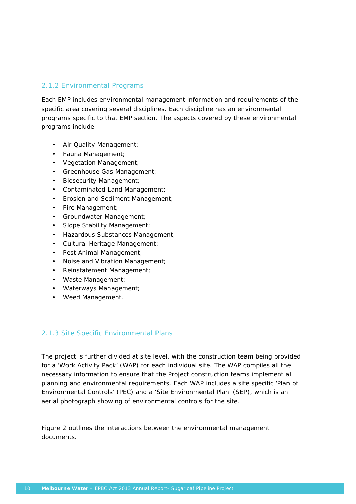# 2.1.2 Environmental Programs

Each EMP includes environmental management information and requirements of the specific area covering several disciplines. Each discipline has an environmental programs specific to that EMP section. The aspects covered by these environmental programs include:

- Air Quality Management;
- Fauna Management;
- Vegetation Management;
- Greenhouse Gas Management;
- Biosecurity Management;
- Contaminated Land Management;
- Erosion and Sediment Management;
- Fire Management;
- Groundwater Management;
- Slope Stability Management;
- Hazardous Substances Management;
- Cultural Heritage Management;
- Pest Animal Management;
- Noise and Vibration Management;
- Reinstatement Management;
- Waste Management;
- Waterways Management;
- Weed Management.

### 2.1.3 Site Specific Environmental Plans

The project is further divided at site level, with the construction team being provided for a 'Work Activity Pack' (WAP) for each individual site. The WAP compiles all the necessary information to ensure that the Project construction teams implement all planning and environmental requirements. Each WAP includes a site specific 'Plan of Environmental Controls' (PEC) and a 'Site Environmental Plan' (SEP), which is an aerial photograph showing of environmental controls for the site.

Figure 2 outlines the interactions between the environmental management documents.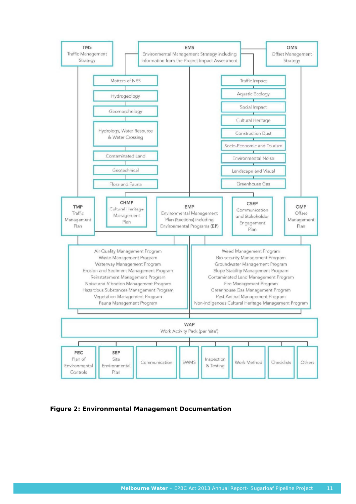

**Figure 2: Environmental Management Documentation**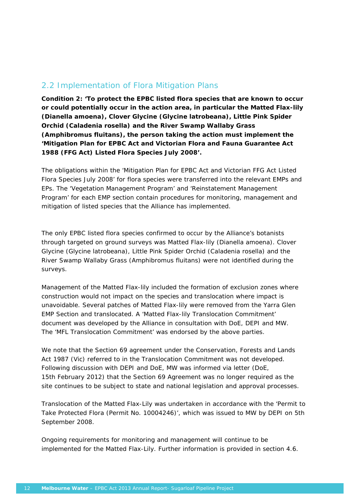# 2.2 Implementation of Flora Mitigation Plans

*Condition 2: 'To protect the EPBC listed flora species that are known to occur or could potentially occur in the action area, in particular the Matted Flax-lily (Dianella amoena), Clover Glycine (Glycine latrobeana), Little Pink Spider Orchid (Caladenia rosella) and the River Swamp Wallaby Grass (Amphibromus fluitans), the person taking the action must implement the 'Mitigation Plan for EPBC Act and Victorian Flora and Fauna Guarantee Act 1988 (FFG Act) Listed Flora Species July 2008'***.** 

The obligations within the 'Mitigation Plan for EPBC Act and Victorian FFG Act Listed Flora Species July 2008' for flora species were transferred into the relevant EMPs and EPs. The 'Vegetation Management Program' and 'Reinstatement Management Program' for each EMP section contain procedures for monitoring, management and mitigation of listed species that the Alliance has implemented.

The only EPBC listed flora species confirmed to occur by the Alliance's botanists through targeted on ground surveys was Matted Flax-lily (*Dianella amoena*). Clover Glycine (*Glycine latrobeana*), Little Pink Spider Orchid (*Caladenia rosella*) and the River Swamp Wallaby Grass (*Amphibromus fluitans*) were not identified during the surveys.

Management of the Matted Flax-lily included the formation of exclusion zones where construction would not impact on the species and translocation where impact is unavoidable. Several patches of Matted Flax-lily were removed from the Yarra Glen EMP Section and translocated. A 'Matted Flax-lily Translocation Commitment' document was developed by the Alliance in consultation with DoE, DEPI and MW. The 'MFL Translocation Commitment' was endorsed by the above parties.

We note that the Section 69 agreement under the *Conservation, Forests and Lands Act 1987* (Vic) referred to in the Translocation Commitment was not developed. Following discussion with DEPI and DoE, MW was informed via letter (DoE, 15th February 2012) that the Section 69 Agreement was no longer required as the site continues to be subject to state and national legislation and approval processes.

Translocation of the Matted Flax-Lily was undertaken in accordance with the 'Permit to Take Protected Flora (Permit No. 10004246)', which was issued to MW by DEPI on 5th September 2008.

Ongoing requirements for monitoring and management will continue to be implemented for the Matted Flax-Lily. Further information is provided in section 4.6.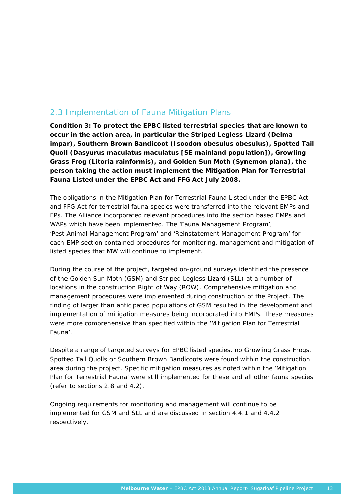# 2.3 Implementation of Fauna Mitigation Plans

*Condition 3: To protect the EPBC listed terrestrial species that are known to occur in the action area, in particular the Striped Legless Lizard (Delma impar), Southern Brown Bandicoot (Isoodon obesulus obesulus), Spotted Tail Quoll (Dasyurus maculatus maculatus [SE mainland population]), Growling Grass Frog (Litoria rainformis), and Golden Sun Moth (Synemon plana), the person taking the action must implement the Mitigation Plan for Terrestrial Fauna Listed under the EPBC Act and FFG Act July 2008.* 

The obligations in the Mitigation Plan for Terrestrial Fauna Listed under the EPBC Act and FFG Act for terrestrial fauna species were transferred into the relevant EMPs and EPs. The Alliance incorporated relevant procedures into the section based EMPs and WAPs which have been implemented. The 'Fauna Management Program', 'Pest Animal Management Program' and 'Reinstatement Management Program' for each EMP section contained procedures for monitoring, management and mitigation of listed species that MW will continue to implement.

During the course of the project, targeted on-ground surveys identified the presence of the Golden Sun Moth (GSM) and Striped Legless Lizard (SLL) at a number of locations in the construction Right of Way (ROW). Comprehensive mitigation and management procedures were implemented during construction of the Project. The finding of larger than anticipated populations of GSM resulted in the development and implementation of mitigation measures being incorporated into EMPs. These measures were more comprehensive than specified within the 'Mitigation Plan for Terrestrial Fauna'.

Despite a range of targeted surveys for EPBC listed species, no Growling Grass Frogs, Spotted Tail Quolls or Southern Brown Bandicoots were found within the construction area during the project. Specific mitigation measures as noted within the 'Mitigation Plan for Terrestrial Fauna' were still implemented for these and all other fauna species (refer to sections 2.8 and 4.2).

Ongoing requirements for monitoring and management will continue to be implemented for GSM and SLL and are discussed in section 4.4.1 and 4.4.2 respectively.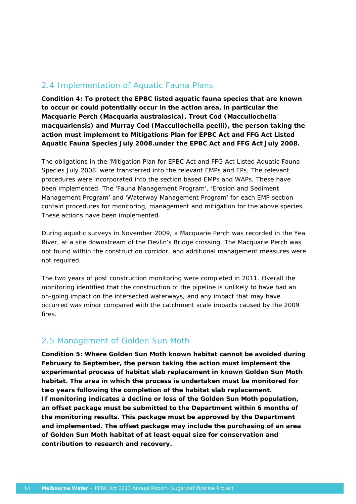# 2.4 Implementation of Aquatic Fauna Plans

*Condition 4: To protect the EPBC listed aquatic fauna species that are known to occur or could potentially occur in the action area, in particular the Macquarie Perch (Macquaria australasica), Trout Cod (Maccullochella macquariensis) and Murray Cod (Maccullochella peelii), the person taking the action must implement to Mitigations Plan for EPBC Act and FFG Act Listed Aquatic Fauna Species July 2008.under the EPBC Act and FFG Act July 2008.* 

The obligations in the 'Mitigation Plan for EPBC Act and FFG Act Listed Aquatic Fauna Species July 2008' were transferred into the relevant EMPs and EPs. The relevant procedures were incorporated into the section based EMPs and WAPs. These have been implemented. The 'Fauna Management Program', 'Erosion and Sediment Management Program' and 'Waterway Management Program' for each EMP section contain procedures for monitoring, management and mitigation for the above species. These actions have been implemented.

During aquatic surveys in November 2009, a Macquarie Perch was recorded in the Yea River, at a site downstream of the Devlin's Bridge crossing. The Macquarie Perch was not found within the construction corridor, and additional management measures were not required.

The two years of post construction monitoring were completed in 2011. Overall the monitoring identified that the construction of the pipeline is unlikely to have had an on-going impact on the intersected waterways, and any impact that may have occurred was minor compared with the catchment scale impacts caused by the 2009 fires.

# 2.5 Management of Golden Sun Moth

*Condition 5: Where Golden Sun Moth known habitat cannot be avoided during February to September, the person taking the action must implement the experimental process of habitat slab replacement in known Golden Sun Moth habitat. The area in which the process is undertaken must be monitored for two years following the completion of the habitat slab replacement. If monitoring indicates a decline or loss of the Golden Sun Moth population, an offset package must be submitted to the Department within 6 months of the monitoring results. This package must be approved by the Department and implemented. The offset package may include the purchasing of an area of Golden Sun Moth habitat of at least equal size for conservation and contribution to research and recovery.*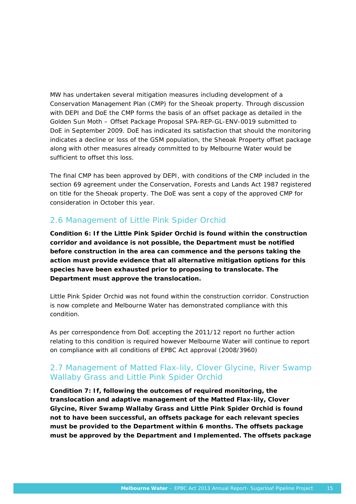MW has undertaken several mitigation measures including development of a Conservation Management Plan (CMP) for the Sheoak property. Through discussion with DEPI and DoE the CMP forms the basis of an offset package as detailed in the Golden Sun Moth – Offset Package Proposal SPA-REP-GL-ENV-0019 submitted to DoE in September 2009. DoE has indicated its satisfaction that should the monitoring indicates a decline or loss of the GSM population, the Sheoak Property offset package along with other measures already committed to by Melbourne Water would be sufficient to offset this loss.

The final CMP has been approved by DEPI, with conditions of the CMP included in the section 69 agreement under the *Conservation, Forests and Lands Act 1987* registered on title for the Sheoak property. The DoE was sent a copy of the approved CMP for consideration in October this year.

# 2.6 Management of Little Pink Spider Orchid

*Condition 6: If the Little Pink Spider Orchid is found within the construction corridor and avoidance is not possible, the Department must be notified before construction in the area can commence and the persons taking the action must provide evidence that all alternative mitigation options for this species have been exhausted prior to proposing to translocate. The Department must approve the translocation.* 

Little Pink Spider Orchid was not found within the construction corridor. Construction is now complete and Melbourne Water has demonstrated compliance with this condition.

As per correspondence from DoE accepting the 2011/12 report no further action relating to this condition is required however Melbourne Water will continue to report on compliance with all conditions of EPBC Act approval (2008/3960)

# 2.7 Management of Matted Flax-lily, Clover Glycine, River Swamp Wallaby Grass and Little Pink Spider Orchid

*Condition 7: If, following the outcomes of required monitoring, the translocation and adaptive management of the Matted Flax-lily, Clover Glycine, River Swamp Wallaby Grass and Little Pink Spider Orchid is found not to have been successful, an offsets package for each relevant species must be provided to the Department within 6 months. The offsets package must be approved by the Department and Implemented. The offsets package*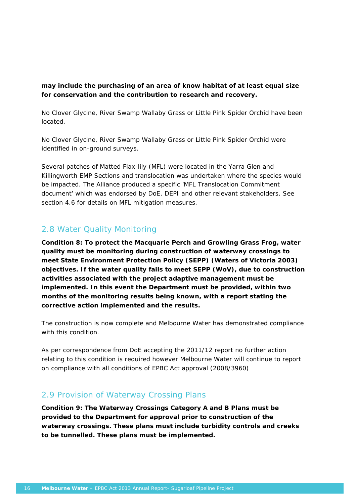### *may include the purchasing of an area of know habitat of at least equal size for conservation and the contribution to research and recovery.*

No Clover Glycine, River Swamp Wallaby Grass or Little Pink Spider Orchid have been located.

No Clover Glycine, River Swamp Wallaby Grass or Little Pink Spider Orchid were identified in on-ground surveys.

Several patches of Matted Flax-lily (MFL) were located in the Yarra Glen and Killingworth EMP Sections and translocation was undertaken where the species would be impacted. The Alliance produced a specific 'MFL Translocation Commitment document' which was endorsed by DoE, DEPI and other relevant stakeholders. See section 4.6 for details on MFL mitigation measures.

# 2.8 Water Quality Monitoring

*Condition 8: To protect the Macquarie Perch and Growling Grass Frog, water quality must be monitoring during construction of waterway crossings to meet State Environment Protection Policy (SEPP) (Waters of Victoria 2003) objectives. If the water quality fails to meet SEPP (WoV), due to construction activities associated with the project adaptive management must be implemented. In this event the Department must be provided, within two months of the monitoring results being known, with a report stating the corrective action implemented and the results.* 

The construction is now complete and Melbourne Water has demonstrated compliance with this condition

As per correspondence from DoE accepting the 2011/12 report no further action relating to this condition is required however Melbourne Water will continue to report on compliance with all conditions of EPBC Act approval (2008/3960)

# 2.9 Provision of Waterway Crossing Plans

*Condition 9: The Waterway Crossings Category A and B Plans must be provided to the Department for approval prior to construction of the waterway crossings. These plans must include turbidity controls and creeks to be tunnelled. These plans must be implemented.*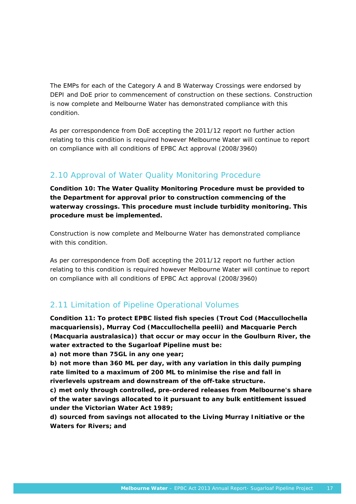The EMPs for each of the Category A and B Waterway Crossings were endorsed by DEPI and DoE prior to commencement of construction on these sections. Construction is now complete and Melbourne Water has demonstrated compliance with this condition.

As per correspondence from DoE accepting the 2011/12 report no further action relating to this condition is required however Melbourne Water will continue to report on compliance with all conditions of EPBC Act approval (2008/3960)

# 2.10 Approval of Water Quality Monitoring Procedure

*Condition 10: The Water Quality Monitoring Procedure must be provided to the Department for approval prior to construction commencing of the waterway crossings. This procedure must include turbidity monitoring. This procedure must be implemented.* 

Construction is now complete and Melbourne Water has demonstrated compliance with this condition

As per correspondence from DoE accepting the 2011/12 report no further action relating to this condition is required however Melbourne Water will continue to report on compliance with all conditions of EPBC Act approval (2008/3960)

# 2.11 Limitation of Pipeline Operational Volumes

*Condition 11: To protect EPBC listed fish species (Trout Cod (Maccullochella macquariensis), Murray Cod (Maccullochella peelii) and Macquarie Perch (Macquaria australasica)) that occur or may occur in the Goulburn River, the water extracted to the Sugarloaf Pipeline must be:* 

*a) not more than 75GL in any one year;* 

*b) not more than 360 ML per day, with any variation in this daily pumping rate limited to a maximum of 200 ML to minimise the rise and fall in riverlevels upstream and downstream of the off-take structure.* 

*c) met only through controlled, pre-ordered releases from Melbourne's share of the water savings allocated to it pursuant to any bulk entitlement issued under the Victorian Water Act 1989;* 

*d) sourced from savings not allocated to the Living Murray Initiative or the Waters for Rivers; and*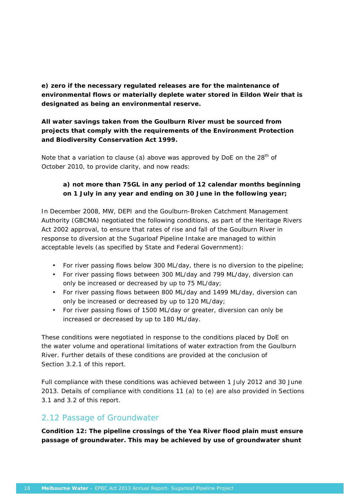*e) zero if the necessary regulated releases are for the maintenance of environmental flows or materially deplete water stored in Eildon Weir that is designated as being an environmental reserve.* 

### *All water savings taken from the Goulburn River must be sourced from projects that comply with the requirements of the Environment Protection and Biodiversity Conservation Act 1999.*

Note that a variation to clause (a) above was approved by DoE on the  $28<sup>th</sup>$  of October 2010, to provide clarity, and now reads:

# *a) not more than 75GL in any period of 12 calendar months beginning on 1 July in any year and ending on 30 June in the following year;*

In December 2008, MW, DEPI and the Goulburn-Broken Catchment Management Authority (GBCMA) negotiated the following conditions, as part of the Heritage Rivers Act 2002 approval, to ensure that rates of rise and fall of the Goulburn River in response to diversion at the Sugarloaf Pipeline Intake are managed to within acceptable levels (as specified by State and Federal Government):

- For river passing flows below 300 ML/day, there is no diversion to the pipeline;
- For river passing flows between 300 ML/day and 799 ML/day, diversion can only be increased or decreased by up to 75 ML/day;
- For river passing flows between 800 ML/day and 1499 ML/day, diversion can only be increased or decreased by up to 120 ML/day;
- For river passing flows of 1500 ML/day or greater, diversion can only be increased or decreased by up to 180 ML/day.

These conditions were negotiated in response to the conditions placed by DoE on the water volume and operational limitations of water extraction from the Goulburn River. Further details of these conditions are provided at the conclusion of Section 3.2.1 of this report.

Full compliance with these conditions was achieved between 1 July 2012 and 30 June 2013. Details of compliance with conditions 11 (a) to (e) are also provided in Sections 3.1 and 3.2 of this report.

# 2.12 Passage of Groundwater

*Condition 12: The pipeline crossings of the Yea River flood plain must ensure passage of groundwater. This may be achieved by use of groundwater shunt*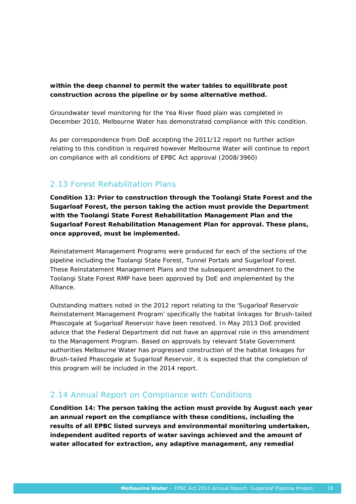### *within the deep channel to permit the water tables to equilibrate post construction across the pipeline or by some alternative method.*

Groundwater level monitoring for the Yea River flood plain was completed in December 2010, Melbourne Water has demonstrated compliance with this condition.

As per correspondence from DoE accepting the 2011/12 report no further action relating to this condition is required however Melbourne Water will continue to report on compliance with all conditions of EPBC Act approval (2008/3960)

# 2.13 Forest Rehabilitation Plans

*Condition 13: Prior to construction through the Toolangi State Forest and the Sugarloaf Forest, the person taking the action must provide the Department with the Toolangi State Forest Rehabilitation Management Plan and the Sugarloaf Forest Rehabilitation Management Plan for approval. These plans, once approved, must be implemented.* 

Reinstatement Management Programs were produced for each of the sections of the pipeline including the Toolangi State Forest, Tunnel Portals and Sugarloaf Forest. These Reinstatement Management Plans and the subsequent amendment to the Toolangi State Forest RMP have been approved by DoE and implemented by the Alliance.

Outstanding matters noted in the 2012 report relating to the 'Sugarloaf Reservoir Reinstatement Management Program' specifically the habitat linkages for Brush-tailed Phascogale at Sugarloaf Reservoir have been resolved. In May 2013 DoE provided advice that the Federal Department did not have an approval role in this amendment to the Management Program. Based on approvals by relevant State Government authorities Melbourne Water has progressed construction of the habitat linkages for Brush-tailed Phascogale at Sugarloaf Reservoir, it is expected that the completion of this program will be included in the 2014 report.

# 2.14 Annual Report on Compliance with Conditions

*Condition 14: The person taking the action must provide by August each year an annual report on the compliance with these conditions, including the results of all EPBC listed surveys and environmental monitoring undertaken, independent audited reports of water savings achieved and the amount of water allocated for extraction, any adaptive management, any remedial*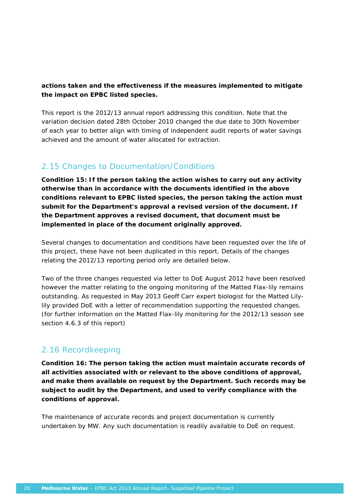### *actions taken and the effectiveness if the measures implemented to mitigate the impact on EPBC listed species.*

This report is the 2012/13 annual report addressing this condition. Note that the variation decision dated 28th October 2010 changed the due date to 30th November of each year to better align with timing of independent audit reports of water savings achieved and the amount of water allocated for extraction.

# 2.15 Changes to Documentation/Conditions

*Condition 15: If the person taking the action wishes to carry out any activity otherwise than in accordance with the documents identified in the above conditions relevant to EPBC listed species, the person taking the action must submit for the Department's approval a revised version of the document. If the Department approves a revised document, that document must be implemented in place of the document originally approved.* 

Several changes to documentation and conditions have been requested over the life of this project, these have not been duplicated in this report. Details of the changes relating the 2012/13 reporting period only are detailed below.

Two of the three changes requested via letter to DoE August 2012 have been resolved however the matter relating to the ongoing monitoring of the Matted Flax-lily remains outstanding. As requested in May 2013 Geoff Carr expert biologist for the Matted Lilylily provided DoE with a letter of recommendation supporting the requested changes. (for further information on the Matted Flax-lily monitoring for the 2012/13 season see section 4.6.3 of this report)

# 2.16 Recordkeeping

*Condition 16: The person taking the action must maintain accurate records of all activities associated with or relevant to the above conditions of approval, and make them available on request by the Department. Such records may be subject to audit by the Department, and used to verify compliance with the conditions of approval.* 

The maintenance of accurate records and project documentation is currently undertaken by MW. Any such documentation is readily available to DoE on request.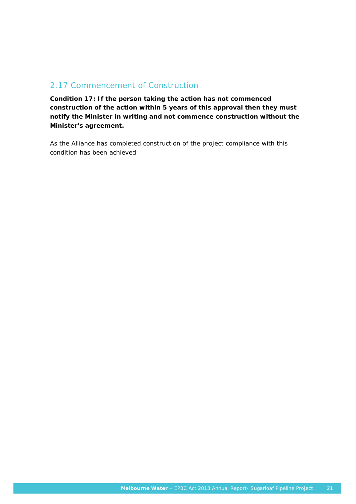# 2.17 Commencement of Construction

*Condition 17: If the person taking the action has not commenced construction of the action within 5 years of this approval then they must notify the Minister in writing and not commence construction without the Minister's agreement.* 

As the Alliance has completed construction of the project compliance with this condition has been achieved.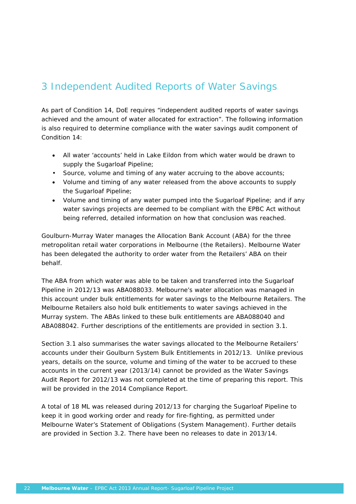# 3 Independent Audited Reports of Water Savings

As part of Condition 14, DoE requires "independent audited reports of water savings achieved and the amount of water allocated for extraction". The following information is also required to determine compliance with the water savings audit component of Condition 14:

- All water 'accounts' held in Lake Eildon from which water would be drawn to supply the Sugarloaf Pipeline;
- Source, volume and timing of any water accruing to the above accounts;
- Volume and timing of any water released from the above accounts to supply the Sugarloaf Pipeline;
- Volume and timing of any water pumped into the Sugarloaf Pipeline; and if any water savings projects are deemed to be compliant with the EPBC Act without being referred, detailed information on how that conclusion was reached.

Goulburn-Murray Water manages the Allocation Bank Account (ABA) for the three metropolitan retail water corporations in Melbourne (the Retailers). Melbourne Water has been delegated the authority to order water from the Retailers' ABA on their behalf.

The ABA from which water was able to be taken and transferred into the Sugarloaf Pipeline in 2012/13 was ABA088033. Melbourne's water allocation was managed in this account under bulk entitlements for water savings to the Melbourne Retailers. The Melbourne Retailers also hold bulk entitlements to water savings achieved in the Murray system. The ABAs linked to these bulk entitlements are ABA088040 and ABA088042. Further descriptions of the entitlements are provided in section 3.1.

Section 3.1 also summarises the water savings allocated to the Melbourne Retailers' accounts under their Goulburn System Bulk Entitlements in 2012/13. Unlike previous years, details on the source, volume and timing of the water to be accrued to these accounts in the current year (2013/14) cannot be provided as the Water Savings Audit Report for 2012/13 was not completed at the time of preparing this report. This will be provided in the 2014 Compliance Report.

A total of 18 ML was released during 2012/13 for charging the Sugarloaf Pipeline to keep it in good working order and ready for fire-fighting, as permitted under Melbourne Water's *Statement of Obligations (System Management)*. Further details are provided in Section 3.2. There have been no releases to date in 2013/14.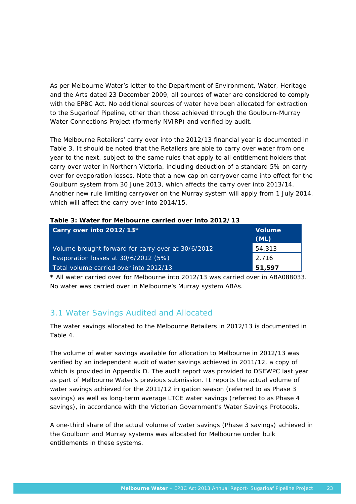As per Melbourne Water's letter to the Department of Environment, Water, Heritage and the Arts dated 23 December 2009, all sources of water are considered to comply with the EPBC Act. No additional sources of water have been allocated for extraction to the Sugarloaf Pipeline, other than those achieved through the Goulburn-Murray Water Connections Project (formerly NVIRP) and verified by audit.

The Melbourne Retailers' carry over into the 2012/13 financial year is documented in Table 3. It should be noted that the Retailers are able to carry over water from one year to the next, subject to the same rules that apply to all entitlement holders that carry over water in Northern Victoria, including deduction of a standard 5% on carry over for evaporation losses. Note that a new cap on carryover came into effect for the Goulburn system from 30 June 2013, which affects the carry over into 2013/14. Another new rule limiting carryover on the Murray system will apply from 1 July 2014, which will affect the carry over into 2014/15.

| Table 3: Water for Melbourne carried over into 2012/13 |  |
|--------------------------------------------------------|--|
|--------------------------------------------------------|--|

| Carry over into 2012/13*                           | <b>Volume</b><br>(ML) |
|----------------------------------------------------|-----------------------|
| Volume brought forward for carry over at 30/6/2012 | 54,313                |
| Evaporation losses at 30/6/2012 (5%)               | 2,716                 |
| Total volume carried over into 2012/13             | 51,597                |

\* All water carried over for Melbourne into 2012/13 was carried over in ABA088033. No water was carried over in Melbourne's Murray system ABAs.

### 3.1 Water Savings Audited and Allocated

The water savings allocated to the Melbourne Retailers in 2012/13 is documented in Table 4.

The volume of water savings available for allocation to Melbourne in 2012/13 was verified by an independent audit of water savings achieved in 2011/12, a copy of which is provided in Appendix D. The audit report was provided to DSEWPC last year as part of Melbourne Water's previous submission. It reports the *actual* volume of water savings achieved for the 2011/12 irrigation season (referred to as Phase 3 savings) as well as *long-term average LTCE* water savings (referred to as Phase 4 savings), in accordance with the Victorian Government's Water Savings Protocols.

A one-third share of the actual volume of water savings (Phase 3 savings) achieved in the Goulburn and Murray systems was allocated for Melbourne under bulk entitlements in these systems.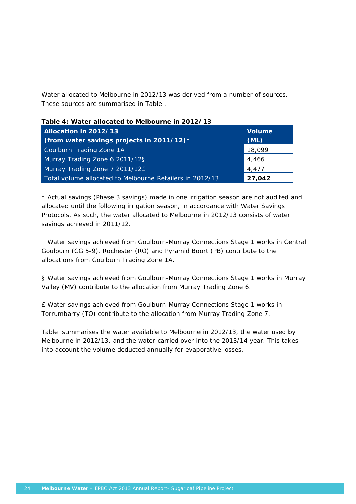Water allocated to Melbourne in 2012/13 was derived from a number of sources. These sources are summarised in Table .

|  |  | Table 4: Water allocated to Melbourne in 2012/13 |  |  |
|--|--|--------------------------------------------------|--|--|
|  |  |                                                  |  |  |

| Allocation in 2012/13<br>(from water savings projects in 2011/12) $*$ | <b>Volume</b><br>(ML) |
|-----------------------------------------------------------------------|-----------------------|
|                                                                       |                       |
| Goulburn Trading Zone 1At                                             | 18,099                |
| Murray Trading Zone 6 2011/12§                                        | 4,466                 |
| Murray Trading Zone 7 2011/12£                                        | 4,477                 |
| Total volume allocated to Melbourne Retailers in 2012/13              | 27,042                |

\* Actual savings (Phase 3 savings) made in one irrigation season are not audited and allocated until the following irrigation season, in accordance with Water Savings Protocols. As such, the water allocated to Melbourne in 2012/13 consists of water savings achieved in 2011/12.

† Water savings achieved from Goulburn-Murray Connections Stage 1 works in Central Goulburn (CG 5-9), Rochester (RO) and Pyramid Boort (PB) contribute to the allocations from Goulburn Trading Zone 1A.

§ Water savings achieved from Goulburn-Murray Connections Stage 1 works in Murray Valley (MV) contribute to the allocation from Murray Trading Zone 6.

£ Water savings achieved from Goulburn-Murray Connections Stage 1 works in Torrumbarry (TO) contribute to the allocation from Murray Trading Zone 7.

Table summarises the water available to Melbourne in 2012/13, the water used by Melbourne in 2012/13, and the water carried over into the 2013/14 year. This takes into account the volume deducted annually for evaporative losses.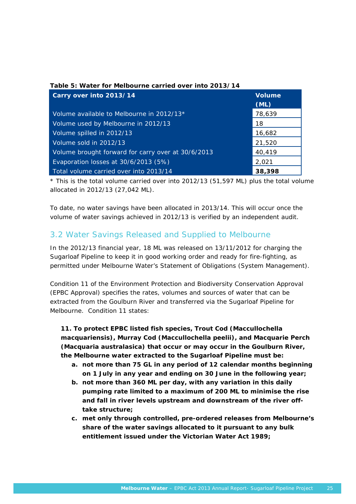| Table 5: Water for Melbourne carried over into 2013/14<br>Carry over into 2013/14 | <b>Volume</b><br>(ML) |
|-----------------------------------------------------------------------------------|-----------------------|
| Volume available to Melbourne in 2012/13*                                         | 78,639                |
| Volume used by Melbourne in 2012/13                                               | 18                    |
| Volume spilled in 2012/13                                                         | 16,682                |
| Volume sold in 2012/13                                                            | 21,520                |
| Volume brought forward for carry over at 30/6/2013                                | 40,419                |
| Evaporation losses at 30/6/2013 (5%)                                              | 2,021                 |
| Total volume carried over into 2013/14                                            | 38,398                |

\* This is the total volume carried over into 2012/13 (51,597 ML) plus the total volume allocated in 2012/13 (27,042 ML).

To date, no water savings have been allocated in 2013/14. This will occur once the volume of water savings achieved in 2012/13 is verified by an independent audit.

# 3.2 Water Savings Released and Supplied to Melbourne

In the 2012/13 financial year, 18 ML was released on 13/11/2012 for charging the Sugarloaf Pipeline to keep it in good working order and ready for fire-fighting, as permitted under Melbourne Water's *Statement of Obligations (System Management)*.

Condition 11 of the *Environment Protection and Biodiversity Conservation Approval (EPBC Approval)* specifies the rates, volumes and sources of water that can be extracted from the Goulburn River and transferred via the Sugarloaf Pipeline for Melbourne. Condition 11 states:

*11. To protect EPBC listed fish species, Trout Cod (Maccullochella macquariensis), Murray Cod (Maccullochella peelii), and Macquarie Perch (Macquaria australasica) that occur or may occur in the Goulburn River, the Melbourne water extracted to the Sugarloaf Pipeline must be:* 

- *a. not more than 75 GL in any period of 12 calendar months beginning on 1 July in any year and ending on 30 June in the following year;*
- *b. not more than 360 ML per day, with any variation in this daily pumping rate limited to a maximum of 200 ML to minimise the rise and fall in river levels upstream and downstream of the river offtake structure;*
- *c. met only through controlled, pre-ordered releases from Melbourne's share of the water savings allocated to it pursuant to any bulk entitlement issued under the Victorian Water Act 1989;*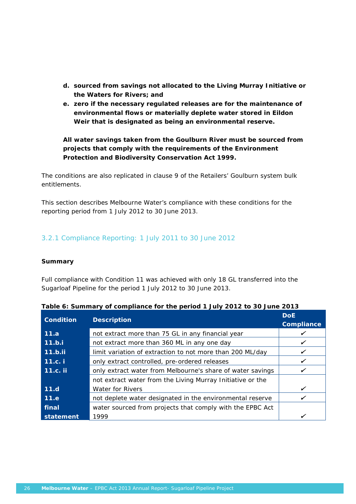- *d. sourced from savings not allocated to the Living Murray Initiative or the Waters for Rivers; and*
- *e. zero if the necessary regulated releases are for the maintenance of environmental flows or materially deplete water stored in Eildon Weir that is designated as being an environmental reserve.*

*All water savings taken from the Goulburn River must be sourced from projects that comply with the requirements of the Environment Protection and Biodiversity Conservation Act 1999.*

The conditions are also replicated in clause 9 of the Retailers' Goulburn system bulk entitlements.

This section describes Melbourne Water's compliance with these conditions for the reporting period from 1 July 2012 to 30 June 2013.

### 3.2.1 Compliance Reporting: 1 July 2011 to 30 June 2012

### **Summary**

Full compliance with Condition 11 was achieved with only 18 GL transferred into the Sugarloaf Pipeline for the period 1 July 2012 to 30 June 2013.

| <b>Condition</b> | <b>Description</b>                                         | <b>DoE</b> |
|------------------|------------------------------------------------------------|------------|
|                  | Compliance                                                 |            |
| 11.a             | not extract more than 75 GL in any financial year          |            |
| 11.b.i           | not extract more than 360 ML in any one day                | ✓          |
| $11.b.$ ii       | limit variation of extraction to not more than 200 ML/day  |            |
| 11.c. i          | only extract controlled, pre-ordered releases              |            |
| <b>11.c.</b> ii  | only extract water from Melbourne's share of water savings |            |
|                  | not extract water from the Living Murray Initiative or the |            |
| 11.d             | <b>Water for Rivers</b>                                    | ✓          |
| 11.e             | not deplete water designated in the environmental reserve  |            |
| final            | water sourced from projects that comply with the EPBC Act  |            |
| statement        | 1999                                                       |            |

|  |  |  | Table 6: Summary of compliance for the period 1 July 2012 to 30 June 2013 |
|--|--|--|---------------------------------------------------------------------------|
|--|--|--|---------------------------------------------------------------------------|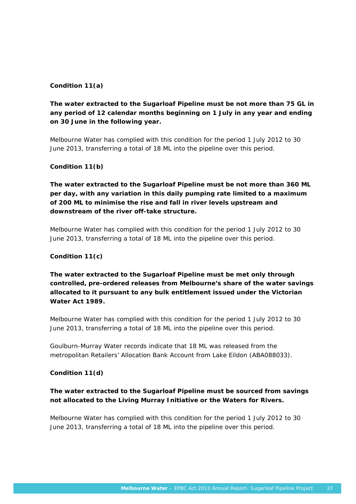### **Condition 11(a)**

# *The water extracted to the Sugarloaf Pipeline must be not more than 75 GL in any period of 12 calendar months beginning on 1 July in any year and ending on 30 June in the following year.*

Melbourne Water has complied with this condition for the period 1 July 2012 to 30 June 2013, transferring a total of 18 ML into the pipeline over this period.

### **Condition 11(b)**

*The water extracted to the Sugarloaf Pipeline must be not more than 360 ML per day, with any variation in this daily pumping rate limited to a maximum of 200 ML to minimise the rise and fall in river levels upstream and downstream of the river off-take structure.* 

Melbourne Water has complied with this condition for the period 1 July 2012 to 30 June 2013, transferring a total of 18 ML into the pipeline over this period.

### **Condition 11(c)**

*The water extracted to the Sugarloaf Pipeline must be met only through controlled, pre-ordered releases from Melbourne's share of the water savings allocated to it pursuant to any bulk entitlement issued under the Victorian Water Act 1989.* 

Melbourne Water has complied with this condition for the period 1 July 2012 to 30 June 2013, transferring a total of 18 ML into the pipeline over this period.

Goulburn-Murray Water records indicate that 18 ML was released from the metropolitan Retailers' Allocation Bank Account from Lake Eildon (ABA088033).

### **Condition 11(d)**

### *The water extracted to the Sugarloaf Pipeline must be sourced from savings not allocated to the Living Murray Initiative or the Waters for Rivers.*

Melbourne Water has complied with this condition for the period 1 July 2012 to 30 June 2013, transferring a total of 18 ML into the pipeline over this period.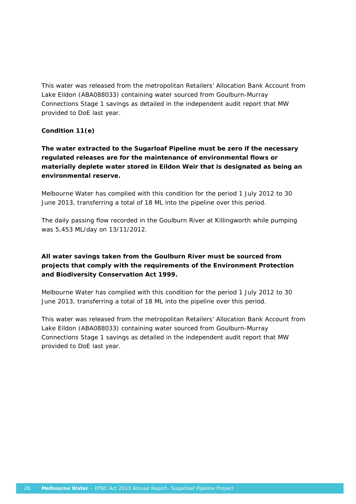This water was released from the metropolitan Retailers' Allocation Bank Account from Lake Eildon (ABA088033) containing water sourced from Goulburn-Murray Connections Stage 1 savings as detailed in the independent audit report that MW provided to DoE last year.

### **Condition 11(e)**

### *The water extracted to the Sugarloaf Pipeline must be zero if the necessary regulated releases are for the maintenance of environmental flows or materially deplete water stored in Eildon Weir that is designated as being an environmental reserve.*

Melbourne Water has complied with this condition for the period 1 July 2012 to 30 June 2013, transferring a total of 18 ML into the pipeline over this period.

The daily passing flow recorded in the Goulburn River at Killingworth while pumping was 5,453 ML/day on 13/11/2012.

# *All water savings taken from the Goulburn River must be sourced from projects that comply with the requirements of the Environment Protection and Biodiversity Conservation Act 1999.*

Melbourne Water has complied with this condition for the period 1 July 2012 to 30 June 2013, transferring a total of 18 ML into the pipeline over this period.

This water was released from the metropolitan Retailers' Allocation Bank Account from Lake Eildon (ABA088033) containing water sourced from Goulburn-Murray Connections Stage 1 savings as detailed in the independent audit report that MW provided to DoE last year.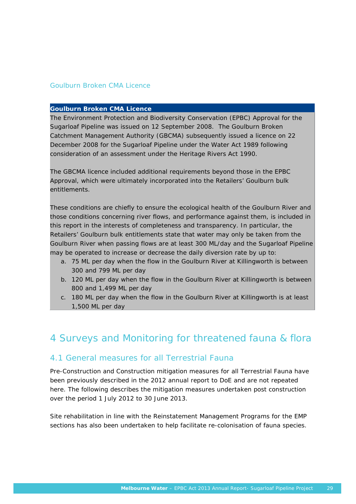#### Goulburn Broken CMA Licence

#### **Goulburn Broken CMA Licence**

The *Environment Protection and Biodiversity Conservation (EPBC) Approval* for the Sugarloaf Pipeline was issued on 12 September 2008. The Goulburn Broken Catchment Management Authority (GBCMA) subsequently issued a licence on 22 December 2008 for the Sugarloaf Pipeline under the *Water Act 1989* following consideration of an assessment under the *Heritage Rivers Act 1990*.

The GBCMA licence included additional requirements beyond those in the *EPBC Approval,* which were ultimately incorporated into the Retailers' Goulburn bulk entitlements.

These conditions are chiefly to ensure the ecological health of the Goulburn River and those conditions concerning river flows, and performance against them, is included in this report in the interests of completeness and transparency. In particular, the Retailers' Goulburn bulk entitlements state that water may only be taken from the Goulburn River when passing flows are at least 300 ML/day and the Sugarloaf Pipeline may be operated to increase or decrease the daily diversion rate by up to:

- a. 75 ML per day when the flow in the Goulburn River at Killingworth is between 300 and 799 ML per day
- b. 120 ML per day when the flow in the Goulburn River at Killingworth is between 800 and 1,499 ML per day
- c. 180 ML per day when the flow in the Goulburn River at Killingworth is at least 1,500 ML per day

# 4 Surveys and Monitoring for threatened fauna & flora

### 4.1 General measures for all Terrestrial Fauna

Pre-Construction and Construction mitigation measures for all Terrestrial Fauna have been previously described in the 2012 annual report to DoE and are not repeated here. The following describes the mitigation measures undertaken post construction over the period 1 July 2012 to 30 June 2013.

Site rehabilitation in line with the Reinstatement Management Programs for the EMP sections has also been undertaken to help facilitate re-colonisation of fauna species.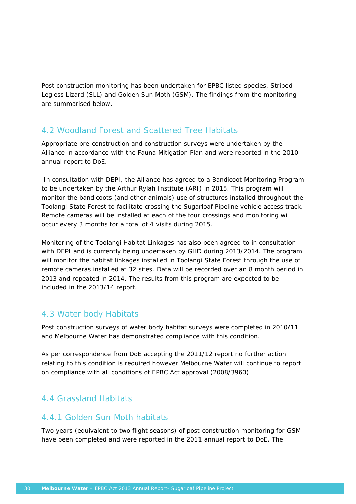Post construction monitoring has been undertaken for EPBC listed species, Striped Legless Lizard (SLL) and Golden Sun Moth (GSM). The findings from the monitoring are summarised below.

# 4.2 Woodland Forest and Scattered Tree Habitats

Appropriate pre-construction and construction surveys were undertaken by the Alliance in accordance with the Fauna Mitigation Plan and were reported in the 2010 annual report to DoE.

 In consultation with DEPI, the Alliance has agreed to a Bandicoot Monitoring Program to be undertaken by the Arthur Rylah Institute (ARI) in 2015. This program will monitor the bandicoots (and other animals) use of structures installed throughout the Toolangi State Forest to facilitate crossing the Sugarloaf Pipeline vehicle access track. Remote cameras will be installed at each of the four crossings and monitoring will occur every 3 months for a total of 4 visits during 2015.

Monitoring of the Toolangi Habitat Linkages has also been agreed to in consultation with DEPI and is currently being undertaken by GHD during 2013/2014. The program will monitor the habitat linkages installed in Toolangi State Forest through the use of remote cameras installed at 32 sites. Data will be recorded over an 8 month period in 2013 and repeated in 2014. The results from this program are expected to be included in the 2013/14 report.

### 4.3 Water body Habitats

Post construction surveys of water body habitat surveys were completed in 2010/11 and Melbourne Water has demonstrated compliance with this condition.

As per correspondence from DoE accepting the 2011/12 report no further action relating to this condition is required however Melbourne Water will continue to report on compliance with all conditions of EPBC Act approval (2008/3960)

# 4.4 Grassland Habitats

### 4.4.1 Golden Sun Moth habitats

Two years (equivalent to two flight seasons) of post construction monitoring for GSM have been completed and were reported in the 2011 annual report to DoE. The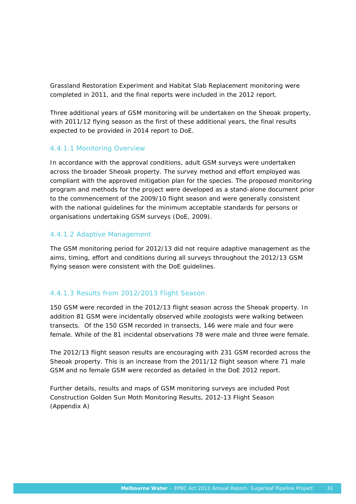Grassland Restoration Experiment and Habitat Slab Replacement monitoring were completed in 2011, and the final reports were included in the 2012 report.

Three additional years of GSM monitoring will be undertaken on the Sheoak property, with 2011/12 flying season as the first of these additional years, the final results expected to be provided in 2014 report to DoE.

### 4.4.1.1 Monitoring Overview

In accordance with the approval conditions, adult GSM surveys were undertaken across the broader Sheoak property. The survey method and effort employed was compliant with the approved mitigation plan for the species. The proposed monitoring program and methods for the project were developed as a stand-alone document prior to the commencement of the 2009/10 flight season and were generally consistent with the national guidelines for the minimum acceptable standards for persons or organisations undertaking GSM surveys (DoE, 2009).

### 4.4.1.2 Adaptive Management

The GSM monitoring period for 2012/13 did not require adaptive management as the aims, timing, effort and conditions during all surveys throughout the 2012/13 GSM flying season were consistent with the DoE guidelines.

### 4.4.1.3 Results from 2012/2013 Flight Season

150 GSM were recorded in the 2012/13 flight season across the Sheoak property. In addition 81 GSM were incidentally observed while zoologists were walking between transects. Of the 150 GSM recorded in transects, 146 were male and four were female. While of the 81 incidental observations 78 were male and three were female.

The 2012/13 flight season results are encouraging with 231 GSM recorded across the Sheoak property. This is an increase from the 2011/12 flight season where 71 male GSM and no female GSM were recorded as detailed in the DoE 2012 report.

Further details, results and maps of GSM monitoring surveys are included Post Construction Golden Sun Moth Monitoring Results, 2012-13 Flight Season (Appendix A)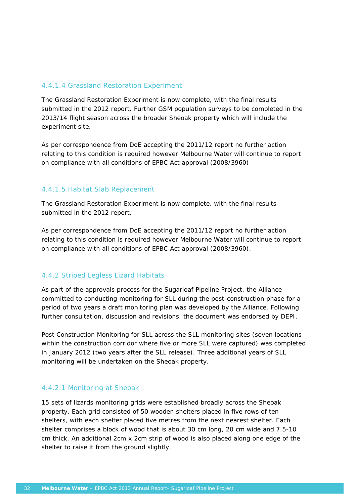### 4.4.1.4 Grassland Restoration Experiment

The Grassland Restoration Experiment is now complete, with the final results submitted in the 2012 report. Further GSM population surveys to be completed in the 2013/14 flight season across the broader Sheoak property which will include the experiment site.

As per correspondence from DoE accepting the 2011/12 report no further action relating to this condition is required however Melbourne Water will continue to report on compliance with all conditions of EPBC Act approval (2008/3960)

#### 4.4.1.5 Habitat Slab Replacement

The Grassland Restoration Experiment is now complete, with the final results submitted in the 2012 report.

As per correspondence from DoE accepting the 2011/12 report no further action relating to this condition is required however Melbourne Water will continue to report on compliance with all conditions of EPBC Act approval (2008/3960).

### 4.4.2 Striped Legless Lizard Habitats

As part of the approvals process for the Sugarloaf Pipeline Project, the Alliance committed to conducting monitoring for SLL during the post-construction phase for a period of two years a draft monitoring plan was developed by the Alliance. Following further consultation, discussion and revisions, the document was endorsed by DEPI.

Post Construction Monitoring for SLL across the SLL monitoring sites (seven locations within the construction corridor where five or more SLL were captured) was completed in January 2012 (two years after the SLL release). Three additional years of SLL monitoring will be undertaken on the Sheoak property.

### 4.4.2.1 Monitoring at Sheoak

15 sets of lizards monitoring grids were established broadly across the Sheoak property. Each grid consisted of 50 wooden shelters placed in five rows of ten shelters, with each shelter placed five metres from the next nearest shelter. Each shelter comprises a block of wood that is about 30 cm long, 20 cm wide and 7.5-10 cm thick. An additional 2cm x 2cm strip of wood is also placed along one edge of the shelter to raise it from the ground slightly.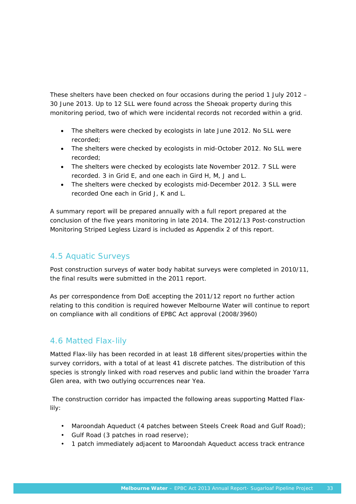These shelters have been checked on four occasions during the period 1 July 2012 – 30 June 2013. Up to 12 SLL were found across the Sheoak property during this monitoring period, two of which were incidental records not recorded within a grid.

- The shelters were checked by ecologists in late June 2012. No SLL were recorded;
- The shelters were checked by ecologists in mid-October 2012. No SLL were recorded;
- The shelters were checked by ecologists late November 2012. 7 SLL were recorded. 3 in Grid E, and one each in Gird H, M, J and L.
- The shelters were checked by ecologists mid-December 2012. 3 SLL were recorded One each in Grid J, K and L.

A summary report will be prepared annually with a full report prepared at the conclusion of the five years monitoring in late 2014. The 2012/13 Post-construction Monitoring Striped Legless Lizard is included as Appendix 2 of this report.

# 4.5 Aquatic Surveys

Post construction surveys of water body habitat surveys were completed in 2010/11, the final results were submitted in the 2011 report.

As per correspondence from DoE accepting the 2011/12 report no further action relating to this condition is required however Melbourne Water will continue to report on compliance with all conditions of EPBC Act approval (2008/3960)

# 4.6 Matted Flax-lily

Matted Flax-lily has been recorded in at least 18 different sites/properties within the survey corridors, with a total of at least 41 discrete patches. The distribution of this species is strongly linked with road reserves and public land within the broader Yarra Glen area, with two outlying occurrences near Yea.

 The construction corridor has impacted the following areas supporting Matted Flaxlily:

- Maroondah Aqueduct (4 patches between Steels Creek Road and Gulf Road);
- Gulf Road (3 patches in road reserve);
- 1 patch immediately adjacent to Maroondah Aqueduct access track entrance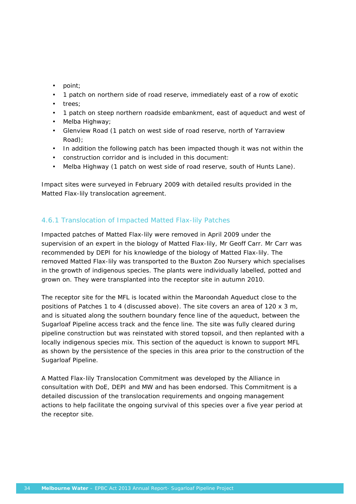- point;
- 1 patch on northern side of road reserve, immediately east of a row of exotic
- trees;
- 1 patch on steep northern roadside embankment, east of aqueduct and west of
- Melba Highway;
- Glenview Road (1 patch on west side of road reserve, north of Yarraview Road);
- In addition the following patch has been impacted though it was not within the
- construction corridor and is included in this document:
- Melba Highway (1 patch on west side of road reserve, south of Hunts Lane).

Impact sites were surveyed in February 2009 with detailed results provided in the Matted Flax-lily translocation agreement.

### 4.6.1 Translocation of Impacted Matted Flax-lily Patches

Impacted patches of Matted Flax-lily were removed in April 2009 under the supervision of an expert in the biology of Matted Flax-lily, Mr Geoff Carr. Mr Carr was recommended by DEPI for his knowledge of the biology of Matted Flax-lily. The removed Matted Flax-lily was transported to the Buxton Zoo Nursery which specialises in the growth of indigenous species. The plants were individually labelled, potted and grown on. They were transplanted into the receptor site in autumn 2010.

The receptor site for the MFL is located within the Maroondah Aqueduct close to the positions of Patches 1 to 4 (discussed above). The site covers an area of 120 x 3 m, and is situated along the southern boundary fence line of the aqueduct, between the Sugarloaf Pipeline access track and the fence line. The site was fully cleared during pipeline construction but was reinstated with stored topsoil, and then replanted with a locally indigenous species mix. This section of the aqueduct is known to support MFL as shown by the persistence of the species in this area prior to the construction of the Sugarloaf Pipeline.

A Matted Flax-lily Translocation Commitment was developed by the Alliance in consultation with DoE, DEPI and MW and has been endorsed. This Commitment is a detailed discussion of the translocation requirements and ongoing management actions to help facilitate the ongoing survival of this species over a five year period at the receptor site.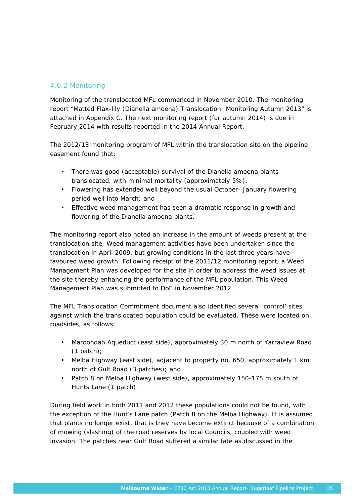### 4.6.2 Monitoring

Monitoring of the translocated MFL commenced in November 2010. The monitoring report "Matted Flax-lily (*Dianella amoena*) Translocation: Monitoring Autumn 2013" is attached in Appendix C. The next monitoring report (for autumn 2014) is due in February 2014 with results reported in the 2014 Annual Report.

The 2012/13 monitoring program of MFL within the translocation site on the pipeline easement found that:

- There was good (acceptable) survival of the *Dianella amoena* plants translocated, with minimal mortality (approximately 5%);
- Flowering has extended well beyond the usual October- January flowering period well into March; and
- Effective weed management has seen a dramatic response in growth and flowering of the *Dianella amoena* plants.

The monitoring report also noted an increase in the amount of weeds present at the translocation site. Weed management activities have been undertaken since the translocation in April 2009, but growing conditions in the last three years have favoured weed growth. Following receipt of the 2011/12 monitoring report, a Weed Management Plan was developed for the site in order to address the weed issues at the site thereby enhancing the performance of the MFL population. This Weed Management Plan was submitted to DoE in November 2012.

The MFL Translocation Commitment document also identified several 'control' sites against which the translocated population could be evaluated. These were located on roadsides, as follows:

- Maroondah Aqueduct (east side), approximately 30 m north of Yarraview Road  $(1$  patch);
- Melba Highway (east side), adjacent to property no. 650, approximately 1 km north of Gulf Road (3 patches); and
- Patch 8 on Melba Highway (west side), approximately 150-175 m south of Hunts Lane (1 patch).

During field work in both 2011 and 2012 these populations could not be found, with the exception of the Hunt's Lane patch (Patch 8 on the Melba Highway). It is assumed that plants no longer exist, that is they have become extinct because of a combination of mowing (slashing) of the road reserves by local Councils, coupled with weed invasion. The patches near Gulf Road suffered a similar fate as discussed in the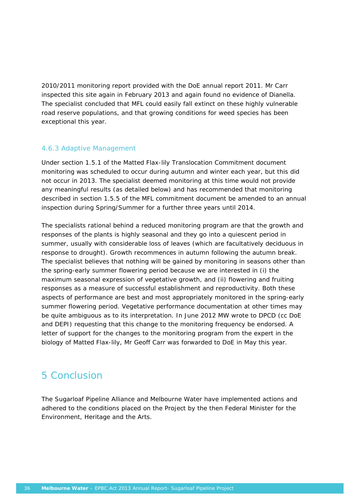2010/2011 monitoring report provided with the DoE annual report 2011. Mr Carr inspected this site again in February 2013 and again found no evidence of *Dianella*. The specialist concluded that MFL could easily fall extinct on these highly vulnerable road reserve populations, and that growing conditions for weed species has been exceptional this year.

### 4.6.3 Adaptive Management

Under section 1.5.1 of the Matted Flax-lily Translocation Commitment document monitoring was scheduled to occur during autumn and winter each year, but this did not occur in 2013. The specialist deemed monitoring at this time would not provide any meaningful results (as detailed below) and has recommended that monitoring described in section 1.5.5 of the MFL commitment document be amended to an annual inspection during Spring/Summer for a further three years until 2014.

The specialists rational behind a reduced monitoring program are that the growth and responses of the plants is highly seasonal and they go into a quiescent period in summer, usually with considerable loss of leaves (which are facultatively deciduous in response to drought). Growth recommences in autumn following the autumn break. The specialist believes that nothing will be gained by monitoring in seasons other than the spring-early summer flowering period because we are interested in (i) the maximum seasonal expression of vegetative growth, and (ii) flowering and fruiting responses as a measure of successful establishment and reproductivity. Both these aspects of performance are best and most appropriately monitored in the spring-early summer flowering period. Vegetative performance documentation at other times may be quite ambiguous as to its interpretation. In June 2012 MW wrote to DPCD (cc DoE and DEPI) requesting that this change to the monitoring frequency be endorsed. A letter of support for the changes to the monitoring program from the expert in the biology of Matted Flax-lily, Mr Geoff Carr was forwarded to DoE in May this year.

# 5 Conclusion

The Sugarloaf Pipeline Alliance and Melbourne Water have implemented actions and adhered to the conditions placed on the Project by the then Federal Minister for the Environment, Heritage and the Arts.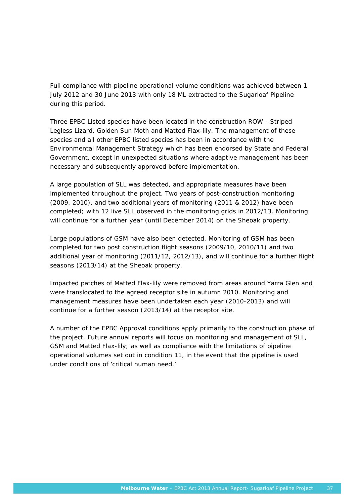Full compliance with pipeline operational volume conditions was achieved between 1 July 2012 and 30 June 2013 with only 18 ML extracted to the Sugarloaf Pipeline during this period.

Three EPBC Listed species have been located in the construction ROW - Striped Legless Lizard, Golden Sun Moth and Matted Flax-lily. The management of these species and all other EPBC listed species has been in accordance with the Environmental Management Strategy which has been endorsed by State and Federal Government, except in unexpected situations where adaptive management has been necessary and subsequently approved before implementation.

A large population of SLL was detected, and appropriate measures have been implemented throughout the project. Two years of post-construction monitoring (2009, 2010), and two additional years of monitoring (2011 & 2012) have been completed; with 12 live SLL observed in the monitoring grids in 2012/13. Monitoring will continue for a further year (until December 2014) on the Sheoak property.

Large populations of GSM have also been detected. Monitoring of GSM has been completed for two post construction flight seasons (2009/10, 2010/11) and two additional year of monitoring (2011/12, 2012/13), and will continue for a further flight seasons (2013/14) at the Sheoak property.

Impacted patches of Matted Flax-lily were removed from areas around Yarra Glen and were translocated to the agreed receptor site in autumn 2010. Monitoring and management measures have been undertaken each year (2010-2013) and will continue for a further season (2013/14) at the receptor site.

A number of the EPBC Approval conditions apply primarily to the construction phase of the project. Future annual reports will focus on monitoring and management of SLL, GSM and Matted Flax-lily; as well as compliance with the limitations of pipeline operational volumes set out in condition 11, in the event that the pipeline is used under conditions of 'critical human need.'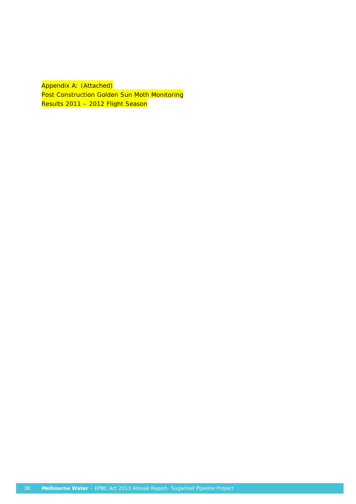Appendix A: (Attached) Post Construction Golden Sun Moth Monitoring Results 2011 - 2012 Flight Season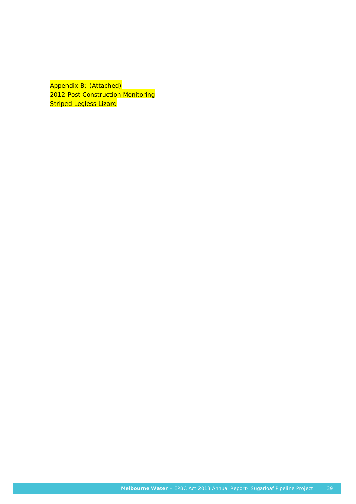Appendix B: (Attached) 2012 Post Construction Monitoring **Striped Legless Lizard**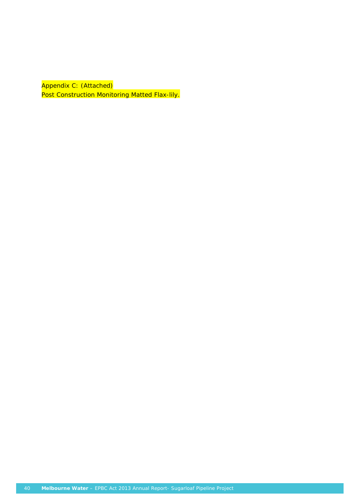Appendix C: (Attached) Post Construction Monitoring Matted Flax-lily.